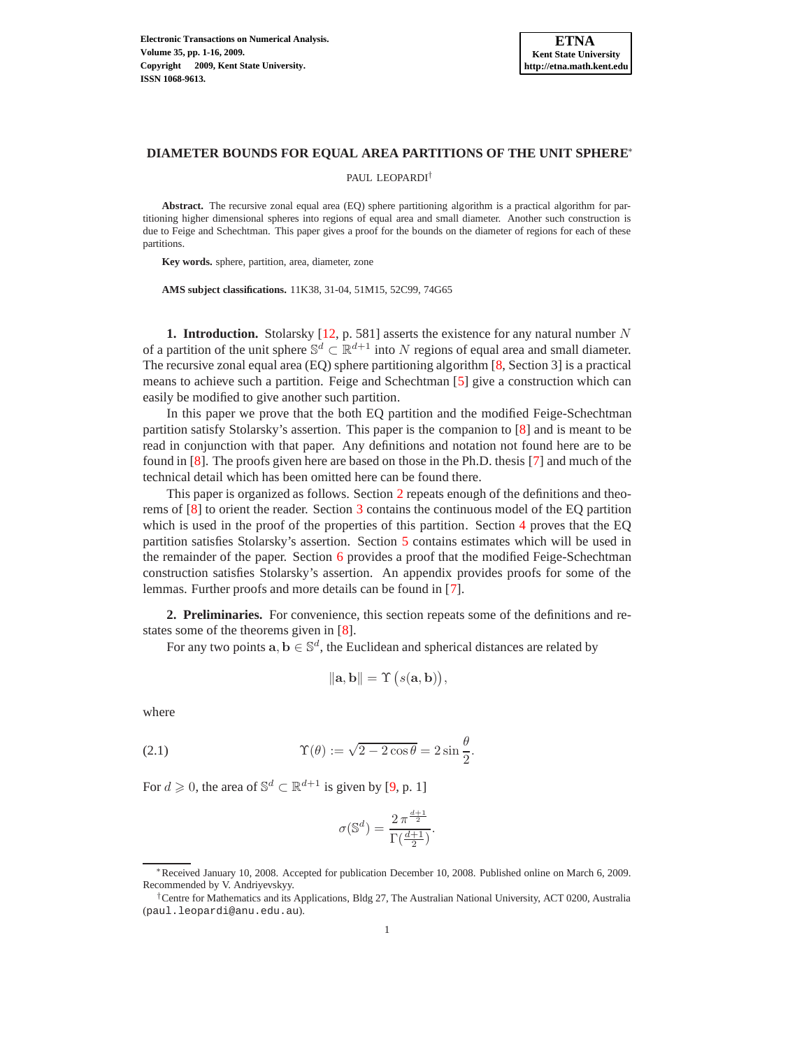### **DIAMETER BOUNDS FOR EQUAL AREA PARTITIONS OF THE UNIT SPHERE**<sup>∗</sup>

PAUL LEOPARDI†

**Abstract.** The recursive zonal equal area (EQ) sphere partitioning algorithm is a practical algorithm for partitioning higher dimensional spheres into regions of equal area and small diameter. Another such construction is due to Feige and Schechtman. This paper gives a proof for the bounds on the diameter of regions for each of these partitions.

**Key words.** sphere, partition, area, diameter, zone

**AMS subject classifications.** 11K38, 31-04, 51M15, 52C99, 74G65

**1. Introduction.** Stolarsky  $[12, p. 581]$  asserts the existence for any natural number N of a partition of the unit sphere  $\mathbb{S}^d \subset \mathbb{R}^{d+1}$  into N regions of equal area and small diameter. The recursive zonal equal area (EQ) sphere partitioning algorithm [\[8,](#page-14-0) Section 3] is a practical means to achieve such a partition. Feige and Schechtman [\[5\]](#page-14-1) give a construction which can easily be modified to give another such partition.

In this paper we prove that the both EQ partition and the modified Feige-Schechtman partition satisfy Stolarsky's assertion. This paper is the companion to [\[8\]](#page-14-0) and is meant to be read in conjunction with that paper. Any definitions and notation not found here are to be found in [\[8\]](#page-14-0). The proofs given here are based on those in the Ph.D. thesis [\[7\]](#page-14-2) and much of the technical detail which has been omitted here can be found there.

This paper is organized as follows. Section [2](#page-0-0) repeats enough of the definitions and theorems of [\[8\]](#page-14-0) to orient the reader. Section [3](#page-1-0) contains the continuous model of the EQ partition which is used in the proof of the properties of this partition. Section [4](#page-5-0) proves that the EQ partition satisfies Stolarsky's assertion. Section [5](#page-6-0) contains estimates which will be used in the remainder of the paper. Section [6](#page-7-0) provides a proof that the modified Feige-Schechtman construction satisfies Stolarsky's assertion. An appendix provides proofs for some of the lemmas. Further proofs and more details can be found in [\[7\]](#page-14-2).

<span id="page-0-0"></span>**2. Preliminaries.** For convenience, this section repeats some of the definitions and restates some of the theorems given in [\[8\]](#page-14-0).

For any two points  $a, b \in \mathbb{S}^d$ , the Euclidean and spherical distances are related by

$$
\|\mathbf{a},\mathbf{b}\|=\Upsilon\big(s(\mathbf{a},\mathbf{b})\big),\
$$

where

<span id="page-0-1"></span>(2.1) 
$$
\Upsilon(\theta) := \sqrt{2 - 2\cos\theta} = 2\sin\frac{\theta}{2}.
$$

For  $d \geq 0$ , the area of  $\mathbb{S}^d \subset \mathbb{R}^{d+1}$  is given by [\[9,](#page-14-3) p. 1]

$$
\sigma(\mathbb{S}^d)=\frac{2\,\pi^{\frac{d+1}{2}}}{\Gamma(\frac{d+1}{2})}.
$$

<sup>∗</sup>Received January 10, 2008. Accepted for publication December 10, 2008. Published online on March 6, 2009. Recommended by V. Andriyevskyy.

<sup>†</sup>Centre for Mathematics and its Applications, Bldg 27, The Australian National University, ACT 0200, Australia (paul.leopardi@anu.edu.au).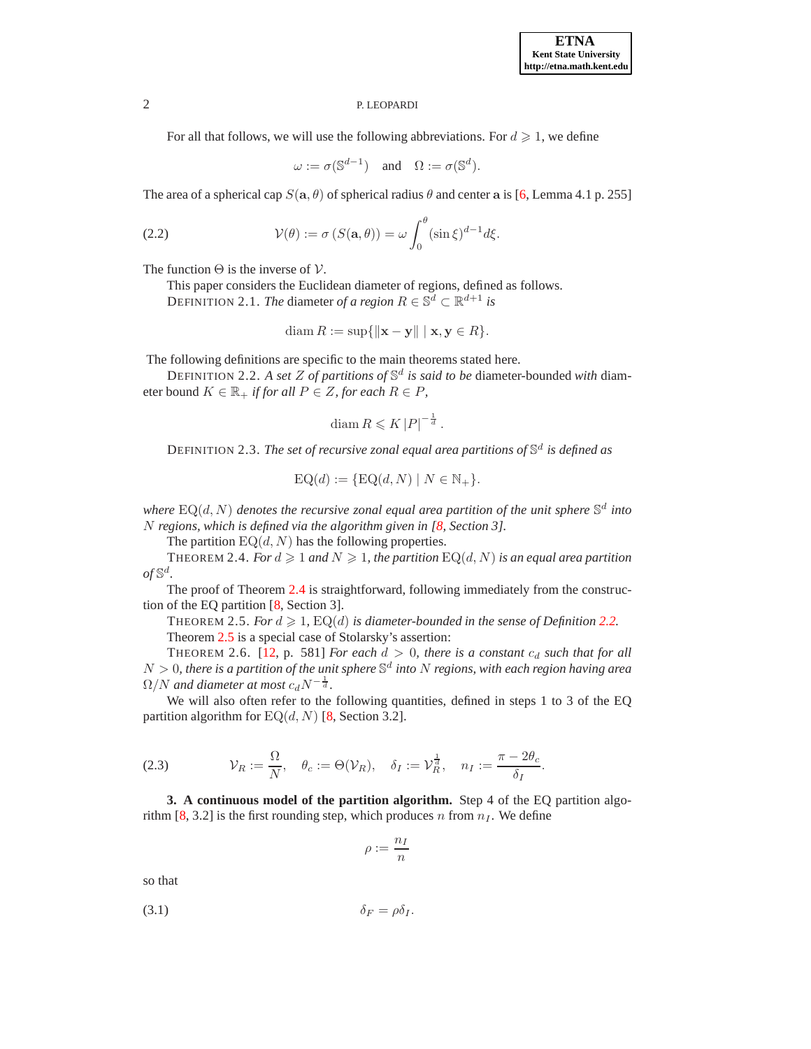For all that follows, we will use the following abbreviations. For  $d \geq 1$ , we define

 $\omega := \sigma(\mathbb{S}^{d-1})$  and  $\Omega := \sigma(\mathbb{S}^d)$ .

The area of a spherical cap  $S(\mathbf{a}, \theta)$  of spherical radius  $\theta$  and center a is [\[6,](#page-14-4) Lemma 4.1 p. 255]

<span id="page-1-4"></span>(2.2) 
$$
\mathcal{V}(\theta) := \sigma \left( S(\mathbf{a}, \theta) \right) = \omega \int_0^{\theta} (\sin \xi)^{d-1} d\xi.
$$

The function  $\Theta$  is the inverse of  $\mathcal V$ .

This paper considers the Euclidean diameter of regions, defined as follows. DEFINITION 2.1. *The* diameter *of a region*  $R \in \mathbb{S}^d \subset \mathbb{R}^{d+1}$  *is* 

$$
\operatorname{diam} R := \sup\{\|\mathbf{x} - \mathbf{y}\| \mid \mathbf{x}, \mathbf{y} \in R\}.
$$

The following definitions are specific to the main theorems stated here.

DEFINITION 2.2. *A set* Z *of partitions of* S d *is said to be* diameter-bounded *with* diameter bound  $K \in \mathbb{R}_+$  *if for all*  $P \in Z$ *, for each*  $R \in P$ *,* 

<span id="page-1-2"></span>
$$
\text{diam}\, R \leqslant K \left|P\right|^{-\frac{1}{d}}.
$$

DEFINITION 2.3. *The set of recursive zonal equal area partitions of* S d *is defined as*

<span id="page-1-6"></span><span id="page-1-1"></span>
$$
\text{EQ}(d) := \{\text{EQ}(d,N) \mid N \in \mathbb{N}_+\}.
$$

where  $\text{EQ}(d, N)$  denotes the recursive zonal equal area partition of the unit sphere  $\mathbb{S}^d$  into N *regions, which is defined via the algorithm given in [\[8,](#page-14-0) Section 3].*

The partition  $EQ(d, N)$  has the following properties.

THEOREM 2.4. *For*  $d \geq 1$  *and*  $N \geq 1$ *, the partition*  $EQ(d, N)$  *is an equal area partition*  $of$ <sup> $\mathbb{S}^d$ </sup>.

<span id="page-1-3"></span>The proof of Theorem [2.4](#page-1-1) is straightforward, following immediately from the construction of the EQ partition [\[8,](#page-14-0) Section 3].

THEOREM 2.5. *For*  $d \ge 1$ ,  $EQ(d)$  *is diameter-bounded in the sense of Definition* [2.2.](#page-1-2) Theorem [2.5](#page-1-3) is a special case of Stolarsky's assertion:

THEOREM 2.6. [\[12,](#page-15-0) p. 581] *For each*  $d > 0$ *, there is a constant*  $c_d$  *such that for all*  $N > 0$ , there is a partition of the unit sphere  $\mathbb{S}^d$  into  $N$  regions, with each region having area  $\Omega/N$  and diameter at most  $c_d N^{-\frac{1}{d}}$ .

We will also often refer to the following quantities, defined in steps 1 to 3 of the EQ partition algorithm for  $EQ(d, N)$  [\[8,](#page-14-0) Section 3.2].

<span id="page-1-5"></span>(2.3) 
$$
\mathcal{V}_R := \frac{\Omega}{N}, \quad \theta_c := \Theta(\mathcal{V}_R), \quad \delta_I := \mathcal{V}_R^{\frac{1}{d}}, \quad n_I := \frac{\pi - 2\theta_c}{\delta_I}.
$$

<span id="page-1-0"></span>**3. A continuous model of the partition algorithm.** Step 4 of the EQ partition algo-rithm [\[8,](#page-14-0) 3.2] is the first rounding step, which produces n from  $n_I$ . We define

$$
\rho := \frac{n_I}{n}
$$

<span id="page-1-7"></span>so that

$$
\delta_F = \rho \delta_I.
$$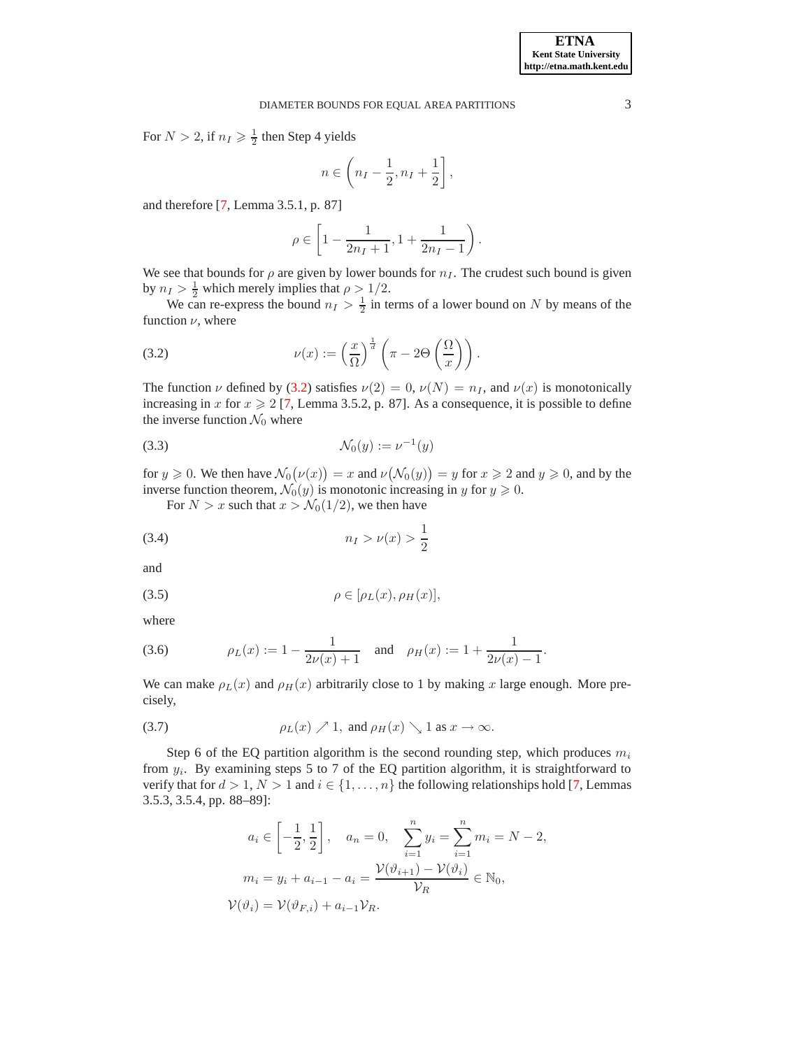For  $N > 2$ , if  $n_I \geqslant \frac{1}{2}$  then Step 4 yields

$$
n \in \left(n_I - \frac{1}{2}, n_I + \frac{1}{2}\right],
$$

and therefore [\[7,](#page-14-2) Lemma 3.5.1, p. 87]

$$
\rho\in\left[1-\frac{1}{2n_I+1},1+\frac{1}{2n_I-1}\right).
$$

We see that bounds for  $\rho$  are given by lower bounds for  $n_I$ . The crudest such bound is given by  $n_I > \frac{1}{2}$  which merely implies that  $\rho > 1/2$ .

We can re-express the bound  $n_I > \frac{1}{2}$  in terms of a lower bound on N by means of the function  $\nu$ , where

<span id="page-2-0"></span>(3.2) 
$$
\nu(x) := \left(\frac{x}{\Omega}\right)^{\frac{1}{d}} \left(\pi - 2\Theta\left(\frac{\Omega}{x}\right)\right).
$$

The function  $\nu$  defined by [\(3.2\)](#page-2-0) satisfies  $\nu(2) = 0$ ,  $\nu(N) = n<sub>I</sub>$ , and  $\nu(x)$  is monotonically increasing in x for  $x \ge 2$  [\[7,](#page-14-2) Lemma 3.5.2, p. 87]. As a consequence, it is possible to define the inverse function  $\mathcal{N}_0$  where

<span id="page-2-2"></span>
$$
\mathcal{N}_0(y) := \nu^{-1}(y)
$$

for  $y \ge 0$ . We then have  $\mathcal{N}_0(\nu(x)) = x$  and  $\nu(\mathcal{N}_0(y)) = y$  for  $x \ge 2$  and  $y \ge 0$ , and by the inverse function theorem,  $\mathcal{N}_0(y)$  is monotonic increasing in y for  $y \ge 0$ .

For  $N > x$  such that  $x > \mathcal{N}_0(1/2)$ , we then have

(3.4) 
$$
n_I > \nu(x) > \frac{1}{2}
$$

and

<span id="page-2-1"></span>
$$
\rho \in [\rho_L(x), \rho_H(x)],
$$

where

<span id="page-2-3"></span>(3.6) 
$$
\rho_L(x) := 1 - \frac{1}{2\nu(x) + 1}
$$
 and  $\rho_H(x) := 1 + \frac{1}{2\nu(x) - 1}$ .

We can make  $\rho_L(x)$  and  $\rho_H(x)$  arbitrarily close to 1 by making x large enough. More precisely,

<span id="page-2-4"></span>(3.7) 
$$
\rho_L(x) \nearrow 1
$$
, and  $\rho_H(x) \searrow 1$  as  $x \to \infty$ .

Step 6 of the EQ partition algorithm is the second rounding step, which produces  $m_i$ from  $y_i$ . By examining steps 5 to 7 of the EQ partition algorithm, it is straightforward to verify that for  $d > 1$ ,  $N > 1$  and  $i \in \{1, ..., n\}$  the following relationships hold [\[7,](#page-14-2) Lemmas 3.5.3, 3.5.4, pp. 88–89]:

$$
a_i \in \left[-\frac{1}{2}, \frac{1}{2}\right], \quad a_n = 0, \quad \sum_{i=1}^n y_i = \sum_{i=1}^n m_i = N - 2,
$$

$$
m_i = y_i + a_{i-1} - a_i = \frac{\mathcal{V}(\vartheta_{i+1}) - \mathcal{V}(\vartheta_i)}{\mathcal{V}_R} \in \mathbb{N}_0,
$$

$$
\mathcal{V}(\vartheta_i) = \mathcal{V}(\vartheta_{F,i}) + a_{i-1}\mathcal{V}_R.
$$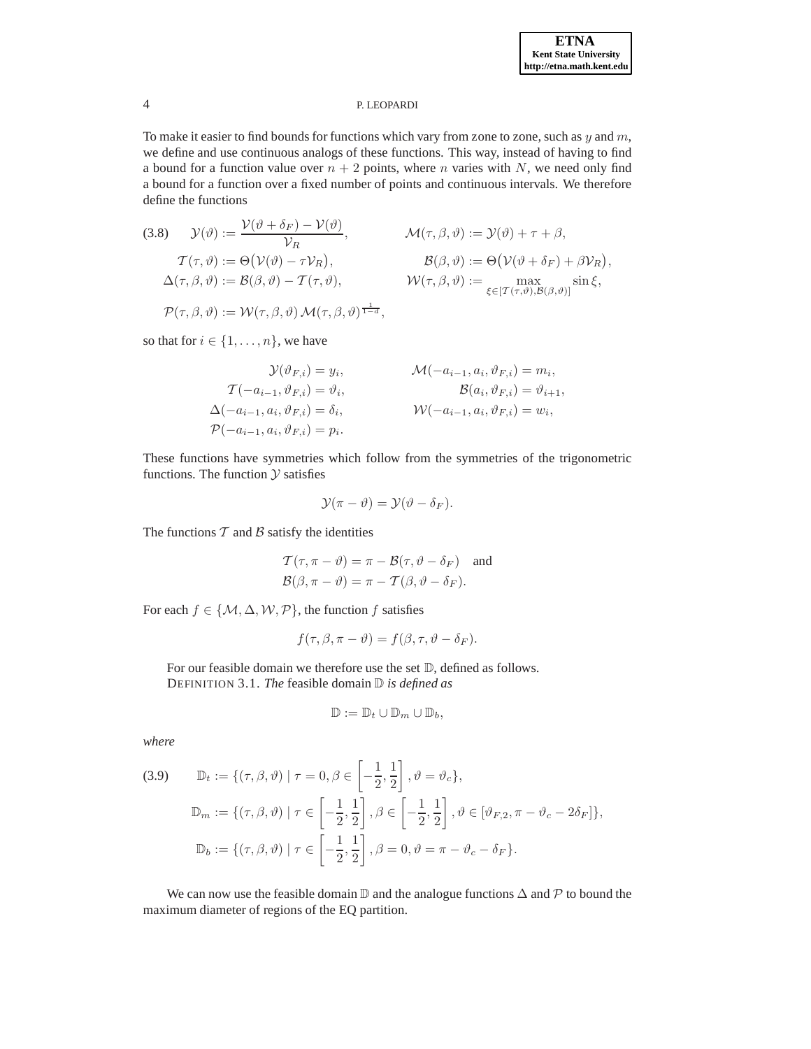To make it easier to find bounds for functions which vary from zone to zone, such as  $y$  and  $m$ , we define and use continuous analogs of these functions. This way, instead of having to find a bound for a function value over  $n + 2$  points, where n varies with N, we need only find a bound for a function over a fixed number of points and continuous intervals. We therefore define the functions

<span id="page-3-2"></span>(3.8) 
$$
\mathcal{Y}(\vartheta) := \frac{\mathcal{V}(\vartheta + \delta_F) - \mathcal{V}(\vartheta)}{\mathcal{V}_R}, \qquad \mathcal{M}(\tau, \beta, \vartheta) := \mathcal{Y}(\vartheta) + \tau + \beta,
$$

$$
\mathcal{T}(\tau, \vartheta) := \Theta(\mathcal{V}(\vartheta) - \tau \mathcal{V}_R), \qquad \mathcal{B}(\beta, \vartheta) := \Theta(\mathcal{V}(\vartheta + \delta_F) + \beta \mathcal{V}_R),
$$

$$
\Delta(\tau, \beta, \vartheta) := \mathcal{B}(\beta, \vartheta) - \mathcal{T}(\tau, \vartheta), \qquad \mathcal{W}(\tau, \beta, \vartheta) := \max_{\xi \in [\mathcal{T}(\tau, \vartheta), \mathcal{B}(\beta, \vartheta)]} \sin \xi,
$$

$$
\mathcal{P}(\tau, \beta, \vartheta) := \mathcal{W}(\tau, \beta, \vartheta) \mathcal{M}(\tau, \beta, \vartheta)^{\frac{1}{1 - \alpha}},
$$

so that for  $i \in \{1, \ldots, n\}$ , we have

$$
\mathcal{Y}(\vartheta_{F,i}) = y_i, \qquad \mathcal{M}(-a_{i-1}, a_i, \vartheta_{F,i}) = m_i, \n\mathcal{T}(-a_{i-1}, \vartheta_{F,i}) = \vartheta_i, \qquad \qquad \mathcal{B}(a_i, \vartheta_{F,i}) = \vartheta_{i+1}, \n\Delta(-a_{i-1}, a_i, \vartheta_{F,i}) = \delta_i, \qquad \qquad \mathcal{W}(-a_{i-1}, a_i, \vartheta_{F,i}) = w_i, \n\mathcal{P}(-a_{i-1}, a_i, \vartheta_{F,i}) = p_i.
$$

These functions have symmetries which follow from the symmetries of the trigonometric functions. The function  $Y$  satisfies

$$
\mathcal{Y}(\pi - \vartheta) = \mathcal{Y}(\vartheta - \delta_F).
$$

The functions  $T$  and  $B$  satisfy the identities

$$
\mathcal{T}(\tau, \pi - \vartheta) = \pi - \mathcal{B}(\tau, \vartheta - \delta_F) \text{ and}
$$
  

$$
\mathcal{B}(\beta, \pi - \vartheta) = \pi - \mathcal{T}(\beta, \vartheta - \delta_F).
$$

For each  $f \in \{M, \Delta, W, P\}$ , the function f satisfies

$$
f(\tau,\beta,\pi-\vartheta)=f(\beta,\tau,\vartheta-\delta_F).
$$

For our feasible domain we therefore use the set  $\mathbb{D}$ , defined as follows. DEFINITION 3.1. *The* feasible domain D *is defined as*

$$
\mathbb{D}:=\mathbb{D}_t\cup\mathbb{D}_m\cup\mathbb{D}_b,
$$

*where*

<span id="page-3-1"></span>(3.9) 
$$
\mathbb{D}_{t} := \{ (\tau, \beta, \vartheta) \mid \tau = 0, \beta \in \left[ -\frac{1}{2}, \frac{1}{2} \right], \vartheta = \vartheta_{c} \},
$$

$$
\mathbb{D}_{m} := \{ (\tau, \beta, \vartheta) \mid \tau \in \left[ -\frac{1}{2}, \frac{1}{2} \right], \beta \in \left[ -\frac{1}{2}, \frac{1}{2} \right], \vartheta \in [\vartheta_{F,2}, \pi - \vartheta_{c} - 2\delta_{F}] \},
$$

$$
\mathbb{D}_{b} := \{ (\tau, \beta, \vartheta) \mid \tau \in \left[ -\frac{1}{2}, \frac{1}{2} \right], \beta = 0, \vartheta = \pi - \vartheta_{c} - \delta_{F} \}.
$$

<span id="page-3-0"></span>We can now use the feasible domain  $\mathbb D$  and the analogue functions  $\Delta$  and  $\mathcal P$  to bound the maximum diameter of regions of the EQ partition.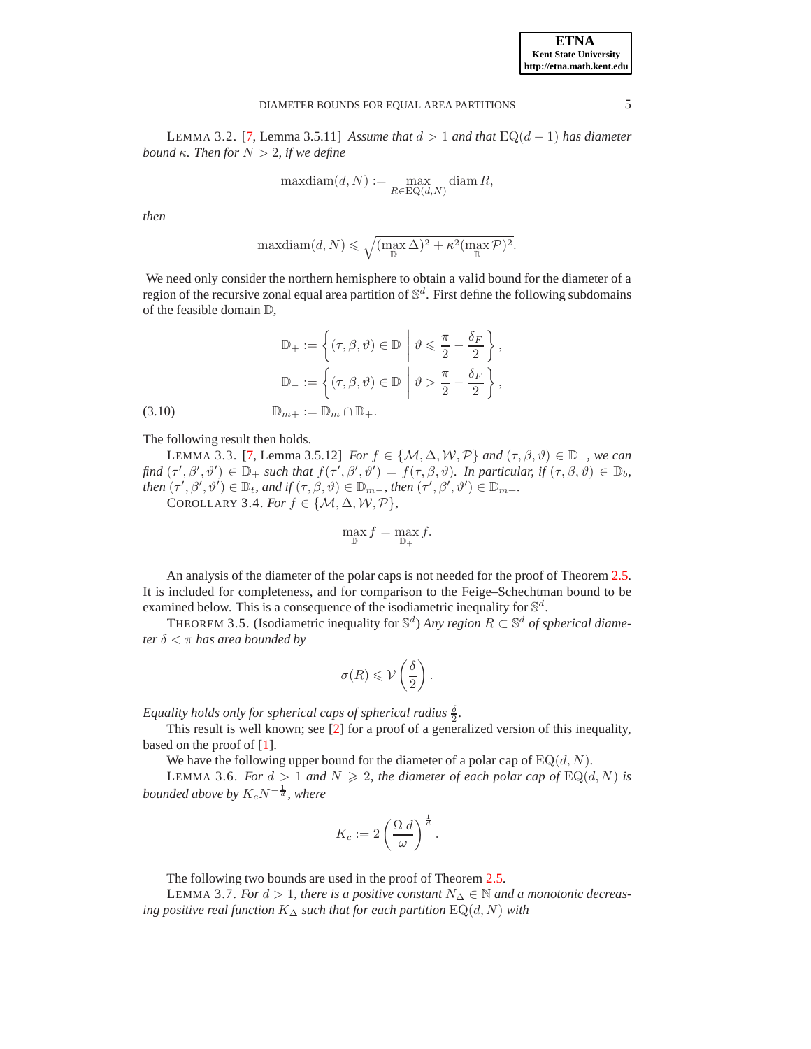LEMMA 3.2. [\[7,](#page-14-2) Lemma 3.5.11] *Assume that*  $d > 1$  *and that* EQ( $d − 1$ ) *has diameter bound*  $\kappa$ *. Then for*  $N > 2$ *, if we define* 

$$
\mathrm{maxdiam}(d,N):=\max_{R\in\mathrm{EQ}(d,N)}\mathrm{diam}\,R,
$$

*then*

$$
\text{maxdiam}(d, N) \leqslant \sqrt{\left(\max_{\mathbb{D}} \Delta\right)^2 + \kappa^2 \left(\max_{\mathbb{D}} \mathcal{P}\right)^2}.
$$

We need only consider the northern hemisphere to obtain a valid bound for the diameter of a region of the recursive zonal equal area partition of  $\mathbb{S}^d$ . First define the following subdomains of the feasible domain D,

$$
\mathbb{D}_{+} := \left\{ (\tau, \beta, \vartheta) \in \mathbb{D} \middle| \vartheta \leq \frac{\pi}{2} - \frac{\delta_{F}}{2} \right\},
$$

$$
\mathbb{D}_{-} := \left\{ (\tau, \beta, \vartheta) \in \mathbb{D} \middle| \vartheta > \frac{\pi}{2} - \frac{\delta_{F}}{2} \right\},
$$

$$
(3.10) \qquad \mathbb{D}_{m+} := \mathbb{D}_{m} \cap \mathbb{D}_{+}.
$$

<span id="page-4-3"></span>The following result then holds.

LEMMA 3.3. [\[7,](#page-14-2) Lemma 3.5.12] *For*  $f \in \{M, \Delta, W, P\}$  *and*  $(\tau, \beta, \vartheta) \in \mathbb{D}$ <sub>-</sub>*, we can*  $f$ *find*  $(\tau', \beta', \vartheta') \in \mathbb{D}_+$  *such that*  $f(\tau', \beta', \vartheta') = f(\tau, \beta, \vartheta)$ *. In particular, if*  $(\tau, \beta, \vartheta) \in \mathbb{D}_b$ *, then*  $(\tau', \beta', \vartheta') \in \mathbb{D}_t$ *, and if*  $(\tau, \beta, \vartheta) \in \mathbb{D}_{m-}$ *, then*  $(\tau', \beta', \vartheta') \in \mathbb{D}_{m+}$ *.* COROLLARY 3.4. *For*  $f \in \{M, \Delta, W, P\}$ ,

<span id="page-4-2"></span>
$$
\max_{\mathbb{D}} f = \max_{\mathbb{D}_+} f.
$$

An analysis of the diameter of the polar caps is not needed for the proof of Theorem [2.5.](#page-1-3) It is included for completeness, and for comparison to the Feige–Schechtman bound to be examined below. This is a consequence of the isodiametric inequality for  $\mathbb{S}^d$ .

THEOREM 3.5. (Isodiametric inequality for  $\mathbb{S}^d$ ) *Any region*  $R \subset \mathbb{S}^d$  *of spherical diameter* δ < π *has area bounded by*

$$
\sigma(R) \leqslant \mathcal{V}\left(\frac{\delta}{2}\right).
$$

*Equality holds only for spherical caps of spherical radius*  $\frac{\delta}{2}$ *.* 

This result is well known; see [\[2\]](#page-14-5) for a proof of a generalized version of this inequality, based on the proof of [\[1\]](#page-14-6).

We have the following upper bound for the diameter of a polar cap of  $EQ(d, N)$ .

LEMMA 3.6. *For*  $d > 1$  *and*  $N \ge 2$ *, the diameter of each polar cap of*  $EQ(d, N)$  *is bounded above by*  $K_c N^{-\frac{1}{d}}$ , where

<span id="page-4-1"></span>
$$
K_c := 2\left(\frac{\Omega \, d}{\omega}\right)^{\frac{1}{d}}.
$$

The following two bounds are used in the proof of Theorem [2.5.](#page-1-3)

<span id="page-4-0"></span>LEMMA 3.7. *For*  $d > 1$ *, there is a positive constant*  $N_∆ ∈ ℕ$  *and a monotonic decreasing positive real function* K<sup>∆</sup> *such that for each partition* EQ(d, N) *with*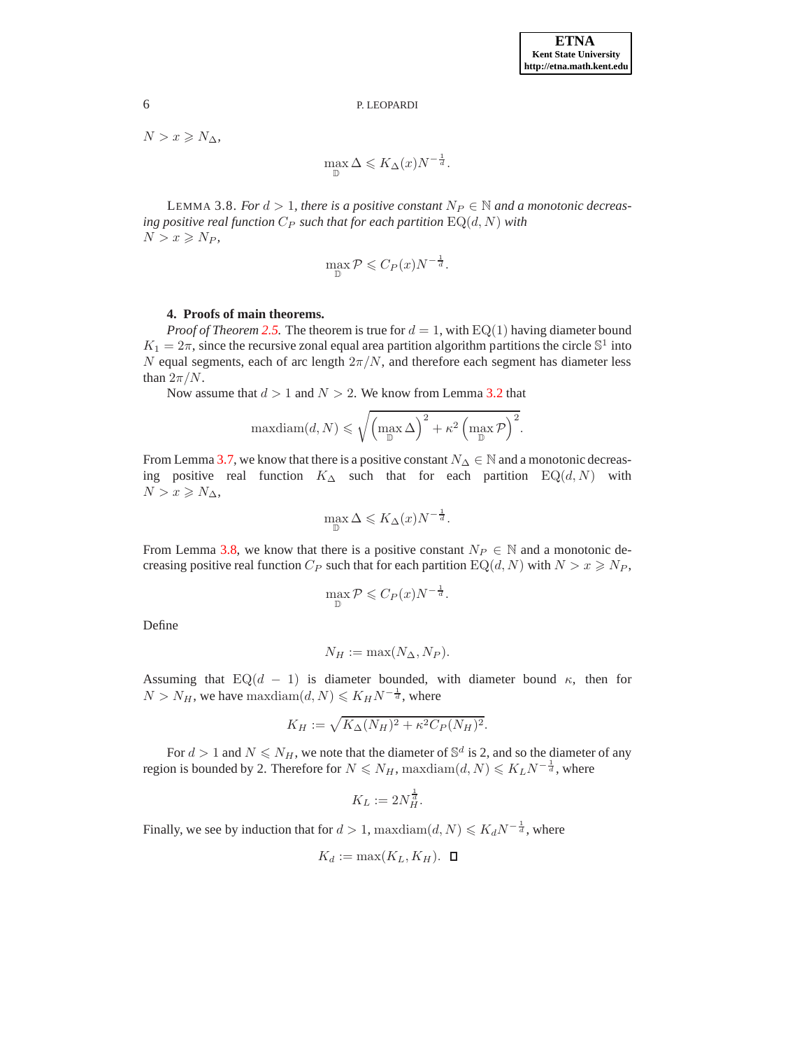$N > x \geqslant N_{\Delta}$ 

 $\max_{\mathbb{D}} \Delta \leqslant K_{\Delta}(x) N^{-\frac{1}{d}}.$ 

<span id="page-5-1"></span>LEMMA 3.8. *For*  $d > 1$ *, there is a positive constant*  $N_P \in \mathbb{N}$  *and a monotonic decreasing positive real function*  $C_P$  *such that for each partition*  $EQ(d, N)$  *with*  $N > x \ge N_P$ ,

$$
\max_{\mathbb{D}} \mathcal{P} \leqslant C_P(x) N^{-\frac{1}{d}}.
$$

## **4. Proofs of main theorems.**

<span id="page-5-0"></span>*Proof of Theorem [2.5.](#page-1-3)* The theorem is true for  $d = 1$ , with EQ(1) having diameter bound  $K_1 = 2\pi$ , since the recursive zonal equal area partition algorithm partitions the circle  $\mathbb{S}^1$  into  $N$  equal segments, each of arc length  $2\pi/N$ , and therefore each segment has diameter less than  $2\pi/N$ .

Now assume that  $d > 1$  and  $N > 2$ . We know from Lemma [3.2](#page-3-0) that

$$
\mathrm{maxdiam}(d, N) \leqslant \sqrt{\left(\max_{\mathbb{D}} \Delta\right)^2 + \kappa^2 \left(\max_{\mathbb{D}} \mathcal{P}\right)^2}.
$$

From Lemma [3.7,](#page-4-0) we know that there is a positive constant  $N_{\Delta} \in \mathbb{N}$  and a monotonic decreasing positive real function  $K_{\Delta}$  such that for each partition EQ(d, N) with  $N > x \geqslant N_{\Delta}$ 

$$
\max_{\mathbb{D}} \Delta \leqslant K_{\Delta}(x) N^{-\frac{1}{d}}.
$$

From Lemma [3.8,](#page-5-1) we know that there is a positive constant  $N_P \in \mathbb{N}$  and a monotonic decreasing positive real function  $C_P$  such that for each partition  $EQ(d, N)$  with  $N > x \ge N_P$ ,

$$
\max_{\mathbb{D}} \mathcal{P} \leqslant C_P(x) N^{-\frac{1}{d}}.
$$

Define

$$
N_H := \max(N_\Delta, N_P).
$$

Assuming that  $EQ(d - 1)$  is diameter bounded, with diameter bound  $\kappa$ , then for  $N > N_H$ , we have maxdiam $(d, N) \leqslant K_H N^{-\frac{1}{d}}$ , where

$$
K_H := \sqrt{K_{\Delta}(N_H)^2 + \kappa^2 C_P(N_H)^2}.
$$

For  $d > 1$  and  $N \le N_H$ , we note that the diameter of  $\mathbb{S}^d$  is 2, and so the diameter of any region is bounded by 2. Therefore for  $N\leqslant N_H,$  max ${\rm diam}(d,N)\leqslant K_LN^{-\frac{1}{d}},$  where

$$
K_L := 2N_H^{\frac{1}{d}}.
$$

Finally, we see by induction that for  $d > 1$ , maxdiam $(d, N) \leq K_d N^{-\frac{1}{d}}$ , where

$$
K_d := \max(K_L, K_H). \quad \Box
$$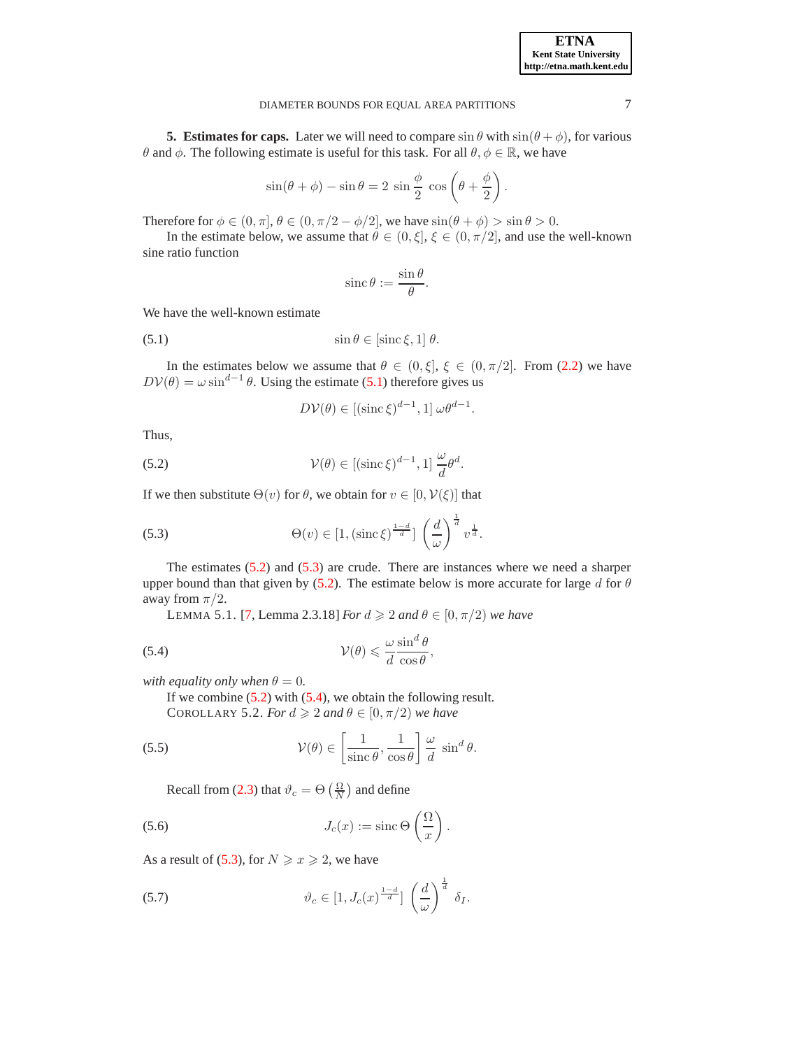

# DIAMETER BOUNDS FOR EQUAL AREA PARTITIONS 7

<span id="page-6-0"></span>**5. Estimates for caps.** Later we will need to compare  $\sin \theta$  with  $\sin(\theta + \phi)$ , for various θ and φ. The following estimate is useful for this task. For all  $\theta, \phi \in \mathbb{R}$ , we have

$$
\sin(\theta + \phi) - \sin \theta = 2 \sin \frac{\phi}{2} \cos \left(\theta + \frac{\phi}{2}\right).
$$

Therefore for  $\phi \in (0, \pi]$ ,  $\theta \in (0, \pi/2 - \phi/2]$ , we have  $\sin(\theta + \phi) > \sin \theta > 0$ .

In the estimate below, we assume that  $\theta \in (0, \xi]$ ,  $\xi \in (0, \pi/2]$ , and use the well-known sine ratio function

$$
\operatorname{sinc}\theta:=\frac{\sin\theta}{\theta}.
$$

We have the well-known estimate

<span id="page-6-1"></span>(5.1)  $\sin \theta \in [\sin \xi, 1] \theta.$ 

In the estimates below we assume that  $\theta \in (0, \xi]$ ,  $\xi \in (0, \pi/2]$ . From [\(2.2\)](#page-1-4) we have  $D V(\theta) = \omega \sin^{d-1} \theta$ . Using the estimate [\(5.1\)](#page-6-1) therefore gives us

$$
D\mathcal{V}(\theta) \in [(\operatorname{sinc}\xi)^{d-1}, 1] \omega \theta^{d-1}.
$$

Thus,

<span id="page-6-2"></span>(5.2) 
$$
\mathcal{V}(\theta) \in [(\text{sinc }\xi)^{d-1}, 1] \frac{\omega}{d} \theta^d.
$$

If we then substitute  $\Theta(v)$  for  $\theta$ , we obtain for  $v \in [0, \mathcal{V}(\xi)]$  that

<span id="page-6-3"></span>(5.3) 
$$
\Theta(v) \in [1, (\text{sinc}\,\xi)^{\frac{1-d}{d}}] \left(\frac{d}{\omega}\right)^{\frac{1}{d}} v^{\frac{1}{d}}.
$$

<span id="page-6-5"></span>The estimates [\(5.2\)](#page-6-2) and [\(5.3\)](#page-6-3) are crude. There are instances where we need a sharper upper bound than that given by [\(5.2\)](#page-6-2). The estimate below is more accurate for large d for  $\theta$ away from  $\pi/2$ .

LEMMA 5.1. [\[7,](#page-14-2) Lemma 2.3.18] *For d* ≥ 2 *and*  $θ ∈ [0, π/2)$  *we have* 

<span id="page-6-4"></span>(5.4) 
$$
\mathcal{V}(\theta) \leq \frac{\omega \sin^d \theta}{d \cos \theta},
$$

*with equality only when*  $\theta = 0$ *.* 

If we combine [\(5.2\)](#page-6-2) with [\(5.4\)](#page-6-4), we obtain the following result. COROLLARY 5.2. *For*  $d \ge 2$  *and*  $\theta \in [0, \pi/2)$  *we have* 

<span id="page-6-8"></span>(5.5) 
$$
\mathcal{V}(\theta) \in \left[\frac{1}{\text{sinc }\theta}, \frac{1}{\cos \theta}\right] \frac{\omega}{d} \sin^d \theta.
$$

Recall from [\(2.3\)](#page-1-5) that  $\vartheta_c = \Theta\left(\frac{\Omega}{N}\right)$  and define

<span id="page-6-6"></span>(5.6) 
$$
J_c(x) := \operatorname{sinc} \Theta\left(\frac{\Omega}{x}\right).
$$

As a result of [\(5.3\)](#page-6-3), for  $N \ge x \ge 2$ , we have

<span id="page-6-7"></span>(5.7) 
$$
\vartheta_c \in [1, J_c(x)^{\frac{1-d}{d}}] \left(\frac{d}{\omega}\right)^{\frac{1}{d}} \delta_I.
$$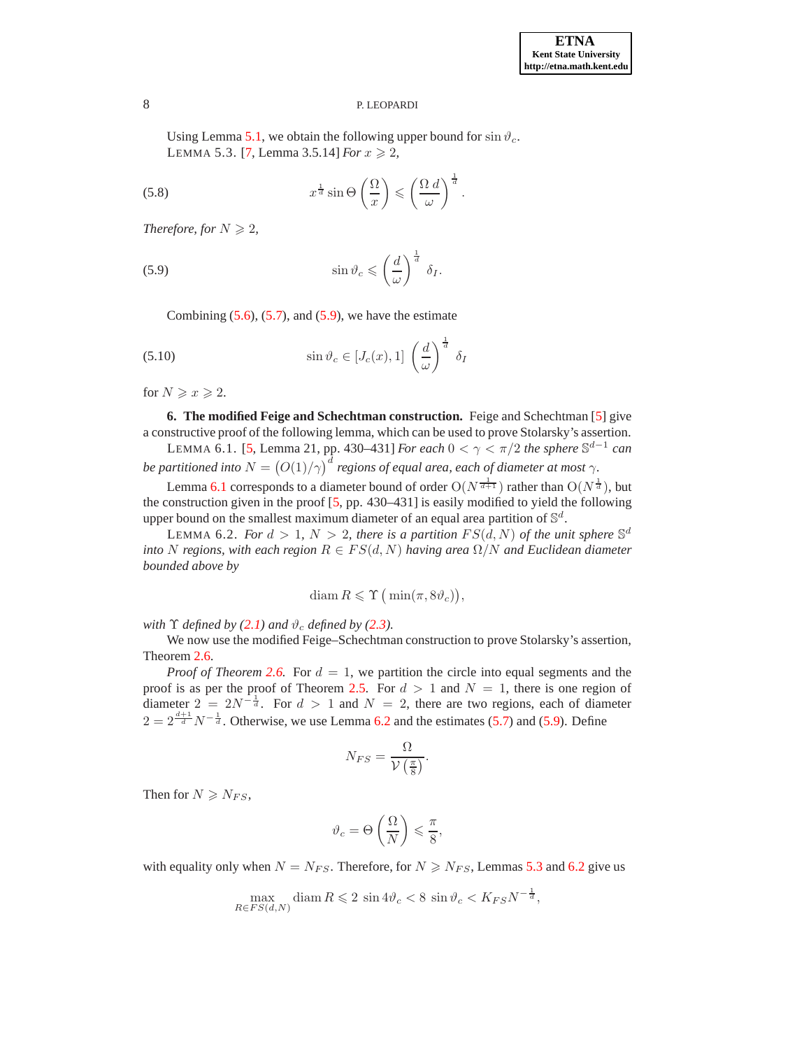<span id="page-7-4"></span>Using Lemma [5.1,](#page-6-5) we obtain the following upper bound for  $\sin \vartheta_c$ . LEMMA 5.3. [\[7,](#page-14-2) Lemma 3.5.14] *For*  $x \ge 2$ ,

(5.8) 
$$
x^{\frac{1}{d}}\sin\Theta\left(\frac{\Omega}{x}\right) \leqslant \left(\frac{\Omega}{\omega}\right)^{\frac{1}{d}}.
$$

*Therefore, for*  $N \geq 2$ *,* 

<span id="page-7-1"></span>(5.9) 
$$
\sin \vartheta_c \leqslant \left(\frac{d}{\omega}\right)^{\frac{1}{d}} \delta_I.
$$

Combining  $(5.6)$ ,  $(5.7)$ , and  $(5.9)$ , we have the estimate

<span id="page-7-5"></span>(5.10) 
$$
\sin \vartheta_c \in [J_c(x), 1] \left(\frac{d}{\omega}\right)^{\frac{1}{d}} \delta_I
$$

<span id="page-7-0"></span>for  $N \geqslant x \geqslant 2$ .

**6. The modified Feige and Schechtman construction.** Feige and Schechtman [\[5\]](#page-14-1) give a constructive proof of the following lemma, which can be used to prove Stolarsky's assertion.

LEMMA 6.1. [\[5,](#page-14-1) Lemma 21, pp. 430–431] *For each*  $0 < \gamma < \pi/2$  *the sphere*  $\mathbb{S}^{d-1}$  *can* be partitioned into  $N = \bigl(O(1)/\gamma\bigr)^d$  regions of equal area, each of diameter at most  $\gamma$ .

Lemma [6.1](#page-7-2) corresponds to a diameter bound of order  $O(N^{\frac{1}{d+1}})$  rather than  $O(N^{\frac{1}{d}})$ , but the construction given in the proof [\[5,](#page-14-1) pp. 430–431] is easily modified to yield the following upper bound on the smallest maximum diameter of an equal area partition of  $\mathbb{S}^d$ .

LEMMA 6.2. *For*  $d > 1$ ,  $N > 2$ , *there is a partition*  $FS(d, N)$  *of the unit sphere*  $\mathbb{S}^d$ *into* N *regions, with each region*  $R \in FS(d, N)$  *having area*  $\Omega/N$  *and Euclidean diameter bounded above by*

<span id="page-7-3"></span><span id="page-7-2"></span>
$$
\text{diam}\, R \leqslant \Upsilon\left(\min(\pi, 8\vartheta_c)\right),\
$$

*with*  $\Upsilon$  *defined by* [\(2.1\)](#page-0-1) *and*  $\vartheta_c$  *defined by* [\(2.3\)](#page-1-5)*.* 

We now use the modified Feige–Schechtman construction to prove Stolarsky's assertion, Theorem [2.6.](#page-1-6)

*Proof of Theorem* [2.6.](#page-1-6) For  $d = 1$ , we partition the circle into equal segments and the proof is as per the proof of Theorem [2.5.](#page-1-3) For  $d > 1$  and  $N = 1$ , there is one region of diameter  $2 = 2N^{-\frac{1}{d}}$ . For  $d > 1$  and  $N = 2$ , there are two regions, each of diameter  $2 = 2^{\frac{d+1}{d}} N^{-\frac{1}{d}}$ . Otherwise, we use Lemma [6.2](#page-7-3) and the estimates [\(5.7\)](#page-6-7) and [\(5.9\)](#page-7-1). Define

$$
N_{FS} = \frac{\Omega}{\mathcal{V}\left(\frac{\pi}{8}\right)}.
$$

Then for  $N \ge N_{FS}$ ,

$$
\vartheta_c = \Theta\left(\frac{\Omega}{N}\right) \leqslant \frac{\pi}{8},
$$

with equality only when  $N = N_{FS}$ . Therefore, for  $N \ge N_{FS}$ , Lemmas [5.3](#page-7-4) and [6.2](#page-7-3) give us

$$
\max_{R \in FS(d,N)} \text{diam } R \leqslant 2 \sin 4 \vartheta_c < 8 \sin \vartheta_c < K_{FS} N^{-\frac{1}{d}},
$$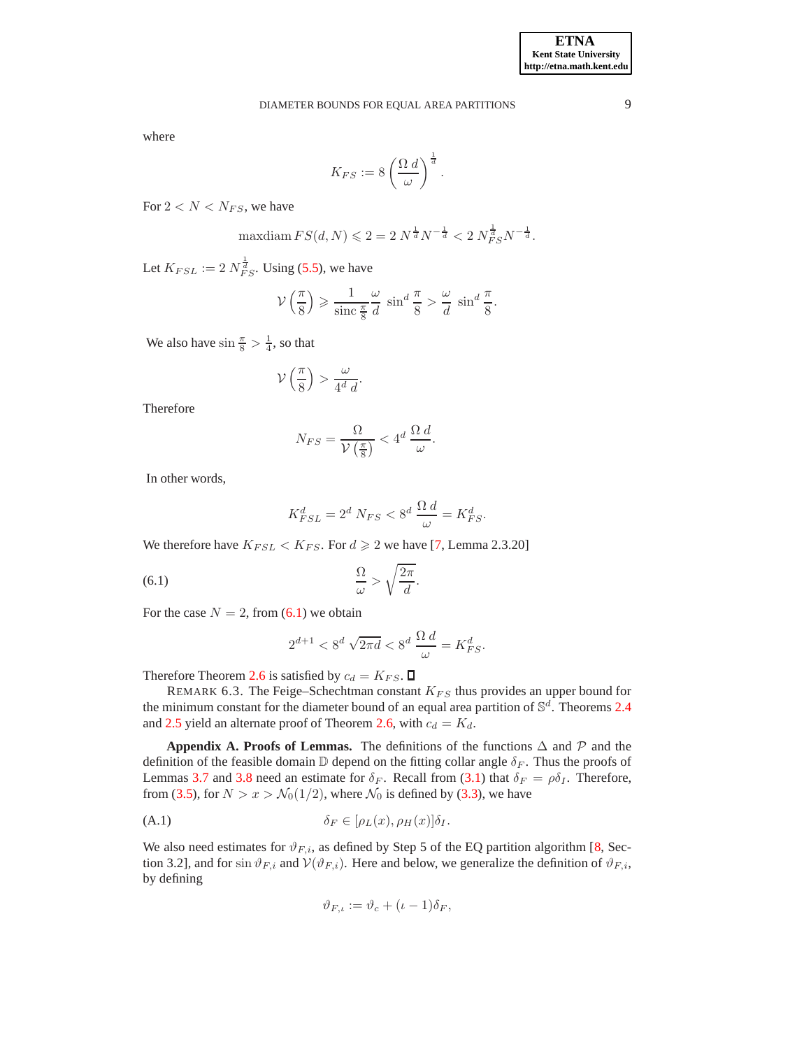where

$$
K_{FS} := 8 \left( \frac{\Omega d}{\omega} \right)^{\frac{1}{d}}.
$$

For  $2 < N < N_{FS}$ , we have

$$
\text{maxdiam}\, FS(d,N) \leqslant 2 = 2\,N^{\frac{1}{d}}N^{-\frac{1}{d}} < 2\,N_{FS}^{\frac{1}{d}}N^{-\frac{1}{d}}.
$$

Let  $K_{FSL} := 2 N_{FS}^{\frac{1}{d}}$ . Using [\(5.5\)](#page-6-8), we have

$$
\mathcal{V}\left(\frac{\pi}{8}\right) \geqslant \frac{1}{\sin c \frac{\pi}{8}} \frac{\omega}{d} \sin^d \frac{\pi}{8} > \frac{\omega}{d} \sin^d \frac{\pi}{8}.
$$

We also have  $\sin \frac{\pi}{8} > \frac{1}{4}$ , so that

$$
\mathcal{V}\left(\frac{\pi}{8}\right) > \frac{\omega}{4^d \, d}.
$$

Therefore

$$
N_{FS} = \frac{\Omega}{\mathcal{V}\left(\frac{\pi}{8}\right)} < 4^d \frac{\Omega d}{\omega}.
$$

In other words,

$$
K_{FSL}^d = 2^d \ N_{FS} < 8^d \ \frac{\Omega \ d}{\omega} = K_{FS}^d.
$$

We therefore have  $K_{FSL} < K_{FS}$ . For  $d \ge 2$  we have [\[7,](#page-14-2) Lemma 2.3.20]

<span id="page-8-0"></span>
$$
\frac{\Omega}{\omega} > \sqrt{\frac{2\pi}{d}}.
$$

For the case  $N = 2$ , from [\(6.1\)](#page-8-0) we obtain

$$
2^{d+1} < 8^d \sqrt{2\pi d} < 8^d \frac{\Omega d}{\omega} = K_{FS}^d.
$$

Therefore Theorem [2.6](#page-1-6) is satisfied by  $c_d = K_{FS}$ .  $\Box$ 

REMARK 6.3. The Feige–Schechtman constant  $K_{FS}$  thus provides an upper bound for the minimum constant for the diameter bound of an equal area partition of  $\mathbb{S}^d$ . Theorems [2.4](#page-1-1) and [2.5](#page-1-3) yield an alternate proof of Theorem [2.6,](#page-1-6) with  $c_d = K_d$ .

**Appendix A. Proofs of Lemmas.** The definitions of the functions  $\Delta$  and  $\mathcal{P}$  and the definition of the feasible domain  $\mathbb D$  depend on the fitting collar angle  $\delta_F$ . Thus the proofs of Lemmas [3.7](#page-4-0) and [3.8](#page-5-1) need an estimate for  $\delta_F$ . Recall from [\(3.1\)](#page-1-7) that  $\delta_F = \rho \delta_I$ . Therefore, from [\(3.5\)](#page-2-1), for  $N > x > N_0(1/2)$ , where  $N_0$  is defined by [\(3.3\)](#page-2-2), we have

<span id="page-8-1"></span>
$$
\delta_F \in [\rho_L(x), \rho_H(x)] \delta_I.
$$

We also need estimates for  $\vartheta_{F,i}$ , as defined by Step 5 of the EQ partition algorithm [\[8,](#page-14-0) Section 3.2], and for sin  $\vartheta_{F,i}$  and  $V(\vartheta_{F,i})$ . Here and below, we generalize the definition of  $\vartheta_{F,i}$ , by defining

$$
\vartheta_{F,\iota} := \vartheta_c + (\iota - 1)\delta_F,
$$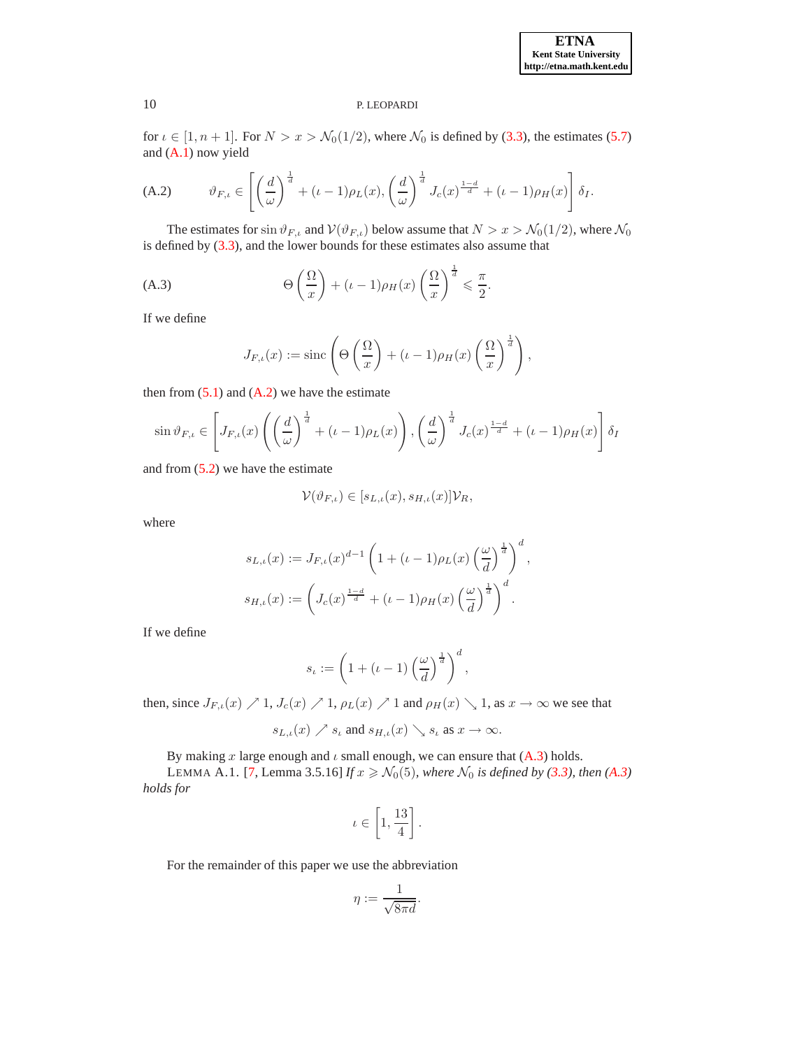#### **ETNA Kent State University http://etna.math.kent.edu**

### 10 P. LEOPARDI

for  $\iota \in [1, n+1]$ . For  $N > x > N_0(1/2)$ , where  $N_0$  is defined by [\(3.3\)](#page-2-2), the estimates [\(5.7\)](#page-6-7) and [\(A.1\)](#page-8-1) now yield

<span id="page-9-0"></span>(A.2) 
$$
\vartheta_{F,\iota} \in \left[ \left( \frac{d}{\omega} \right)^{\frac{1}{d}} + (\iota - 1)\rho_L(x), \left( \frac{d}{\omega} \right)^{\frac{1}{d}} J_c(x)^{\frac{1-d}{d}} + (\iota - 1)\rho_H(x) \right] \delta_I.
$$

The estimates for  $\sin \vartheta_{F,\iota}$  and  $V(\vartheta_{F,\iota})$  below assume that  $N > x > N_0(1/2)$ , where  $N_0$ is defined by [\(3.3\)](#page-2-2), and the lower bounds for these estimates also assume that

<span id="page-9-1"></span>(A.3) 
$$
\Theta\left(\frac{\Omega}{x}\right) + (\iota - 1)\rho_H(x)\left(\frac{\Omega}{x}\right)^{\frac{1}{d}} \leq \frac{\pi}{2}.
$$

If we define

$$
J_{F,\iota}(x) := \operatorname{sinc}\left(\Theta\left(\frac{\Omega}{x}\right) + (\iota - 1)\rho_H(x)\left(\frac{\Omega}{x}\right)^{\frac{1}{d}}\right),\,
$$

then from  $(5.1)$  and  $(A.2)$  we have the estimate

$$
\sin \vartheta_{F,\iota} \in \left[J_{F,\iota}(x)\left(\left(\frac{d}{\omega}\right)^{\frac{1}{d}} + (\iota - 1)\rho_L(x)\right), \left(\frac{d}{\omega}\right)^{\frac{1}{d}} J_c(x)^{\frac{1-d}{d}} + (\iota - 1)\rho_H(x)\right]\delta_I
$$

and from  $(5.2)$  we have the estimate

$$
\mathcal{V}(\vartheta_{F,\iota}) \in [s_{L,\iota}(x),s_{H,\iota}(x)]\mathcal{V}_R,
$$

where

$$
s_{L,\iota}(x) := J_{F,\iota}(x)^{d-1} \left( 1 + (\iota - 1)\rho_L(x) \left( \frac{\omega}{d} \right)^{\frac{1}{d}} \right)^d,
$$
  

$$
s_{H,\iota}(x) := \left( J_c(x)^{\frac{1-d}{d}} + (\iota - 1)\rho_H(x) \left( \frac{\omega}{d} \right)^{\frac{1}{d}} \right)^d.
$$

If we define

$$
s_{\iota} := \left(1 + (\iota - 1) \left(\frac{\omega}{d}\right)^{\frac{1}{d}}\right)^d,
$$

then, since  $J_{F,\iota}(x) \nearrow 1, J_c(x) \nearrow 1, \rho_L(x) \nearrow 1$  and  $\rho_H(x) \searrow 1$ , as  $x \to \infty$  we see that

$$
s_{L,\iota}(x) \nearrow s_{\iota}
$$
 and  $s_{H,\iota}(x) \searrow s_{\iota}$  as  $x \to \infty$ .

By making x large enough and  $\iota$  small enough, we can ensure that  $(A.3)$  holds.

LEMMA A.1. [\[7,](#page-14-2) Lemma 3.5.16] *If*  $x \ge N_0(5)$ *, where*  $N_0$  *is defined by* [\(3.3\)](#page-2-2)*, then* [\(A.3\)](#page-9-1) *holds for*

$$
\iota \in \left[1, \frac{13}{4}\right].
$$

For the remainder of this paper we use the abbreviation

$$
\eta := \frac{1}{\sqrt{8\pi d}}.
$$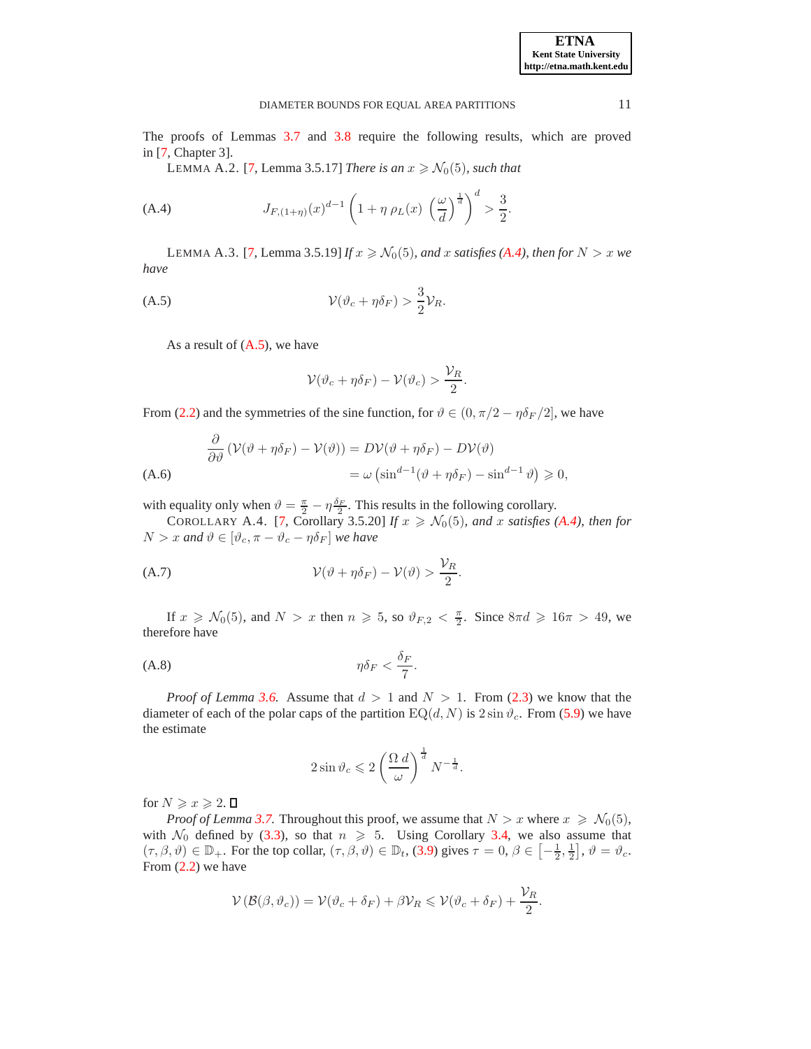The proofs of Lemmas [3.7](#page-4-0) and [3.8](#page-5-1) require the following results, which are proved in [\[7,](#page-14-2) Chapter 3].

LEMMA A.2. [\[7,](#page-14-2) Lemma 3.5.17] *There is an*  $x \ge N_0(5)$ *, such that* 

<span id="page-10-0"></span>(A.4) 
$$
J_{F,(1+\eta)}(x)^{d-1} \left(1 + \eta \rho_L(x) \left(\frac{\omega}{d}\right)^{\frac{1}{d}}\right)^d > \frac{3}{2}.
$$

LEMMA A.3. [\[7,](#page-14-2) Lemma 3.5.19] *If*  $x \ge N_0(5)$ *, and* x *satisfies* [\(A.4\)](#page-10-0)*, then for*  $N > x$  *we have*

<span id="page-10-1"></span>
$$
\mathcal{V}(\vartheta_c + \eta \delta_F) > \frac{3}{2} \mathcal{V}_R.
$$

As a result of [\(A.5\)](#page-10-1), we have

$$
\mathcal{V}(\vartheta_c + \eta \delta_F) - \mathcal{V}(\vartheta_c) > \frac{\mathcal{V}_R}{2}.
$$

From [\(2.2\)](#page-1-4) and the symmetries of the sine function, for  $\vartheta \in (0, \pi/2 - \eta \delta_F/2]$ , we have

$$
\frac{\partial}{\partial \vartheta} \left( \mathcal{V}(\vartheta + \eta \delta_F) - \mathcal{V}(\vartheta) \right) = D \mathcal{V}(\vartheta + \eta \delta_F) - D \mathcal{V}(\vartheta)
$$
\n
$$
= \omega \left( \sin^{d-1} (\vartheta + \eta \delta_F) - \sin^{d-1} \vartheta \right) \geqslant 0,
$$
\n(A.6)

with equality only when  $\vartheta = \frac{\pi}{2} - \eta \frac{\delta_F}{2}$ . This results in the following corollary.

COROLLARY A.4. [\[7,](#page-14-2) Corollary 3.5.20] *If*  $x \ge N_0(5)$ *, and* x *satisfies* [\(A.4\)](#page-10-0)*, then for*  $N > x$  and  $\vartheta \in [\vartheta_c, \pi - \vartheta_c - \eta \delta_F]$  we have

<span id="page-10-2"></span>(A.7) 
$$
\mathcal{V}(\vartheta + \eta \delta_F) - \mathcal{V}(\vartheta) > \frac{\mathcal{V}_R}{2}.
$$

If  $x \ge N_0(5)$ , and  $N > x$  then  $n \ge 5$ , so  $\vartheta_{F,2} < \frac{\pi}{2}$ . Since  $8\pi d \ge 16\pi > 49$ , we therefore have

$$
\eta \delta_F < \frac{\delta_F}{7}.
$$

*Proof of Lemma* [3.6.](#page-4-1) Assume that  $d > 1$  and  $N > 1$ . From [\(2.3\)](#page-1-5) we know that the diameter of each of the polar caps of the partition  $EQ(d, N)$  is  $2 \sin \vartheta_c$ . From [\(5.9\)](#page-7-1) we have the estimate

$$
2\sin\vartheta_c \leqslant 2\left(\frac{\Omega \, d}{\omega}\right)^{\frac{1}{d}} N^{-\frac{1}{d}}.
$$

for  $N \geqslant x \geqslant 2$ .  $\Box$ 

*Proof of Lemma* [3.7.](#page-4-0) Throughout this proof, we assume that  $N > x$  where  $x \ge N_0(5)$ , with  $\mathcal{N}_0$  defined by [\(3.3\)](#page-2-2), so that  $n \geq 5$ . Using Corollary [3.4,](#page-4-2) we also assume that  $(\tau, \beta, \vartheta) \in \mathbb{D}_+$ . For the top collar,  $(\tau, \beta, \vartheta) \in \mathbb{D}_t$ , [\(3.9\)](#page-3-1) gives  $\tau = 0$ ,  $\beta \in \left[-\frac{1}{2}, \frac{1}{2}\right]$ ,  $\vartheta = \vartheta_c$ . From [\(2.2\)](#page-1-4) we have

$$
\mathcal{V}(\mathcal{B}(\beta,\vartheta_c))=\mathcal{V}(\vartheta_c+\delta_F)+\beta\mathcal{V}_R\leqslant\mathcal{V}(\vartheta_c+\delta_F)+\frac{\mathcal{V}_R}{2}.
$$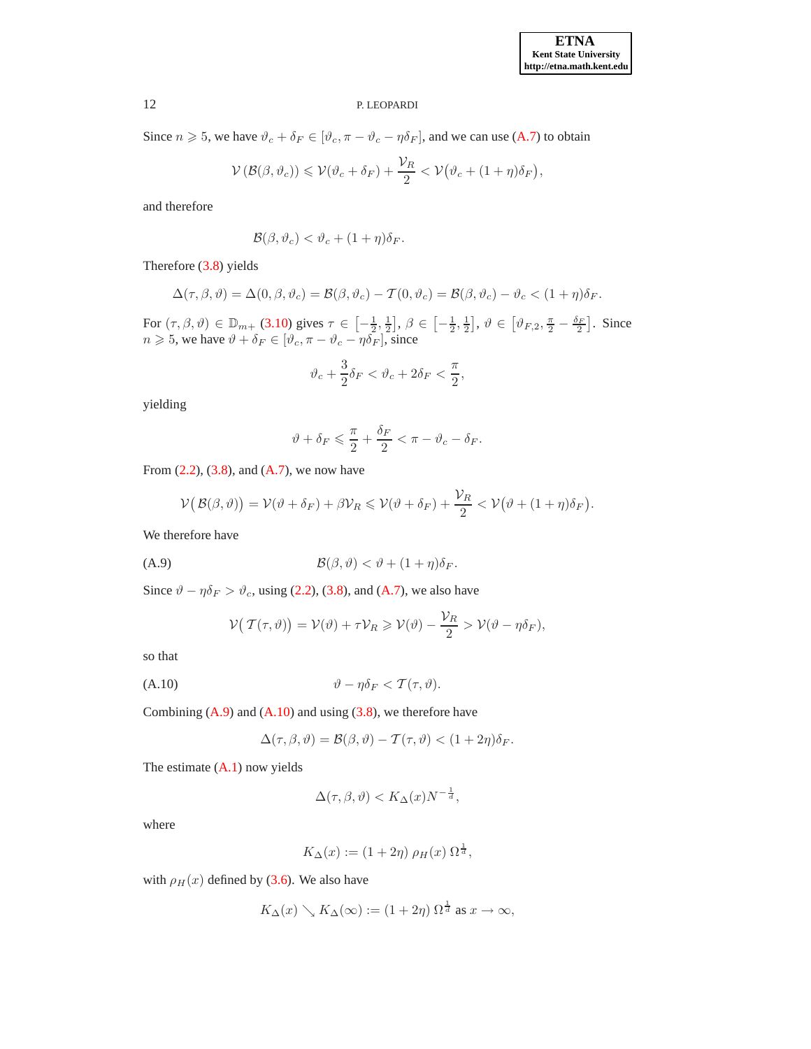Since  $n \ge 5$ , we have  $\vartheta_c + \delta_F \in [\vartheta_c, \pi - \vartheta_c - \eta \delta_F]$ , and we can use [\(A.7\)](#page-10-2) to obtain

$$
\mathcal{V}\left(\mathcal{B}(\beta,\vartheta_c)\right) \leqslant \mathcal{V}(\vartheta_c + \delta_F) + \frac{\mathcal{V}_R}{2} < \mathcal{V}\big(\vartheta_c + (1+\eta)\delta_F\big),
$$

and therefore

$$
\mathcal{B}(\beta,\vartheta_c)<\vartheta_c+(1+\eta)\delta_F.
$$

Therefore [\(3.8\)](#page-3-2) yields

$$
\Delta(\tau,\beta,\vartheta)=\Delta(0,\beta,\vartheta_c)=\mathcal{B}(\beta,\vartheta_c)-\mathcal{T}(0,\vartheta_c)=\mathcal{B}(\beta,\vartheta_c)-\vartheta_c<(1+\eta)\delta_F.
$$

For  $(\tau, \beta, \vartheta) \in \mathbb{D}_{m+}$  [\(3.10\)](#page-4-3) gives  $\tau \in \left[-\frac{1}{2}, \frac{1}{2}\right], \beta \in \left[-\frac{1}{2}, \frac{1}{2}\right], \vartheta \in \left[\vartheta_{F,2}, \frac{\pi}{2} - \frac{\delta_F}{2}\right]$ . Since  $n \geq 5$ , we have  $\vartheta + \delta_F \in [\vartheta_c, \pi - \vartheta_c - \eta \delta_F]$ , since

$$
\vartheta_c + \frac{3}{2}\delta_F < \vartheta_c + 2\delta_F < \frac{\pi}{2},
$$

yielding

$$
\vartheta + \delta_F \leqslant \frac{\pi}{2} + \frac{\delta_F}{2} < \pi - \vartheta_c - \delta_F.
$$

From  $(2.2)$ ,  $(3.8)$ , and  $(A.7)$ , we now have

$$
\mathcal{V}(\mathcal{B}(\beta,\vartheta)) = \mathcal{V}(\vartheta + \delta_F) + \beta \mathcal{V}_R \leqslant \mathcal{V}(\vartheta + \delta_F) + \frac{\mathcal{V}_R}{2} < \mathcal{V}(\vartheta + (1+\eta)\delta_F).
$$

We therefore have

<span id="page-11-0"></span>
$$
(A.9) \t\t\t\mathcal{B}(\beta,\vartheta) < \vartheta + (1+\eta)\delta_F.
$$

Since  $\vartheta - \eta \delta_F > \vartheta_c$ , using [\(2.2\)](#page-1-4), [\(3.8\)](#page-3-2), and [\(A.7\)](#page-10-2), we also have

$$
\mathcal{V}(\mathcal{T}(\tau,\vartheta)) = \mathcal{V}(\vartheta) + \tau \mathcal{V}_R \geq \mathcal{V}(\vartheta) - \frac{\mathcal{V}_R}{2} > \mathcal{V}(\vartheta - \eta \delta_F),
$$

so that

<span id="page-11-1"></span>
$$
\vartheta - \eta \delta_F < \mathcal{T}(\tau, \vartheta).
$$

Combining  $(A.9)$  and  $(A.10)$  and using  $(3.8)$ , we therefore have

$$
\Delta(\tau,\beta,\vartheta)=\mathcal{B}(\beta,\vartheta)-\mathcal{T}(\tau,\vartheta)<(1+2\eta)\delta_F.
$$

The estimate [\(A.1\)](#page-8-1) now yields

$$
\Delta(\tau,\beta,\vartheta) < K_{\Delta}(x)N^{-\frac{1}{d}},
$$

where

$$
K_{\Delta}(x) := (1 + 2\eta) \rho_H(x) \Omega^{\frac{1}{d}},
$$

with  $\rho_H(x)$  defined by [\(3.6\)](#page-2-3). We also have

$$
K_{\Delta}(x) \searrow K_{\Delta}(\infty) := (1 + 2\eta) \Omega^{\frac{1}{d}}
$$
 as  $x \to \infty$ ,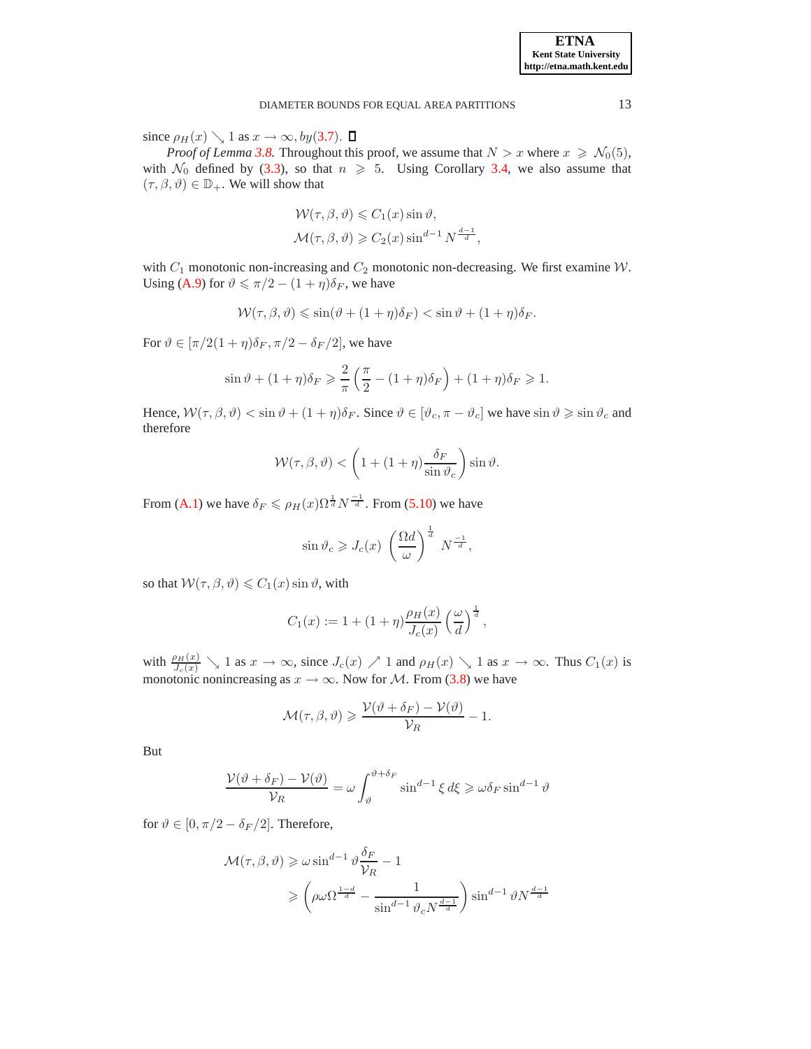since  $\rho_H(x) \searrow 1$  as  $x \to \infty$ , by([3.7](#page-2-4)).  $\Box$ 

*Proof of Lemma* [3.8.](#page-5-1) Throughout this proof, we assume that  $N > x$  where  $x \ge N_0(5)$ , with  $\mathcal{N}_0$  defined by [\(3.3\)](#page-2-2), so that  $n \geq 5$ . Using Corollary [3.4,](#page-4-2) we also assume that  $(\tau, \beta, \vartheta) \in \mathbb{D}_+$ . We will show that

$$
\mathcal{W}(\tau, \beta, \vartheta) \leq C_1(x) \sin \vartheta,
$$
  

$$
\mathcal{M}(\tau, \beta, \vartheta) \geq C_2(x) \sin^{d-1} N^{\frac{d-1}{d}},
$$

with  $C_1$  monotonic non-increasing and  $C_2$  monotonic non-decreasing. We first examine  $W$ . Using [\(A.9\)](#page-11-0) for  $\vartheta \le \pi/2 - (1 + \eta)\delta_F$ , we have

$$
\mathcal{W}(\tau,\beta,\vartheta) \leqslant \sin(\vartheta + (1+\eta)\delta_F) < \sin\vartheta + (1+\eta)\delta_F.
$$

For  $\vartheta \in [\pi/2(1+\eta)\delta_F, \pi/2 - \delta_F/2]$ , we have

$$
\sin \vartheta + (1+\eta)\delta_F \geq \frac{2}{\pi} \left(\frac{\pi}{2} - (1+\eta)\delta_F\right) + (1+\eta)\delta_F \geq 1.
$$

Hence,  $W(\tau, \beta, \vartheta) < \sin \vartheta + (1 + \eta)\delta_F$ . Since  $\vartheta \in [\vartheta_c, \pi - \vartheta_c]$  we have  $\sin \vartheta \ge \sin \vartheta_c$  and therefore

$$
\mathcal{W}(\tau,\beta,\vartheta) < \left(1 + (1+\eta)\frac{\delta_F}{\sin\vartheta_c}\right)\sin\vartheta.
$$

From [\(A.1\)](#page-8-1) we have  $\delta_F \leq \rho_H(x) \Omega^{\frac{1}{d}} N^{-\frac{1}{d}}$ . From [\(5.10\)](#page-7-5) we have

$$
\sin \vartheta_c \geqslant J_c(x) \left(\frac{\Omega d}{\omega}\right)^{\frac{1}{d}} N^{-\frac{1}{d}},
$$

so that  $W(\tau, \beta, \vartheta) \leq C_1(x) \sin \vartheta$ , with

$$
C_1(x) := 1 + (1+\eta) \frac{\rho_H(x)}{J_c(x)} \left(\frac{\omega}{d}\right)^{\frac{1}{d}},
$$

with  $\frac{\rho_H(x)}{J_c(x)} \searrow 1$  as  $x \to \infty$ , since  $J_c(x) \nearrow 1$  and  $\rho_H(x) \searrow 1$  as  $x \to \infty$ . Thus  $C_1(x)$  is monotonic nonincreasing as  $x \to \infty$ . Now for M. From [\(3.8\)](#page-3-2) we have

$$
\mathcal{M}(\tau,\beta,\vartheta) \geqslant \frac{\mathcal{V}(\vartheta + \delta_F) - \mathcal{V}(\vartheta)}{\mathcal{V}_R} - 1.
$$

But

$$
\frac{\mathcal{V}(\vartheta + \delta_F) - \mathcal{V}(\vartheta)}{\mathcal{V}_R} = \omega \int_{\vartheta}^{\vartheta + \delta_F} \sin^{d-1} \xi \, d\xi \geqslant \omega \delta_F \sin^{d-1} \vartheta
$$

for  $\vartheta \in [0, \pi/2 - \delta_F/2]$ . Therefore,

$$
\mathcal{M}(\tau,\beta,\vartheta) \geqslant \omega \sin^{d-1} \vartheta \frac{\delta_F}{\mathcal{V}_R} - 1
$$

$$
\geqslant \left(\rho \omega \Omega^{\frac{1-d}{d}} - \frac{1}{\sin^{d-1} \vartheta_c N^{\frac{d-1}{d}}}\right) \sin^{d-1} \vartheta N^{\frac{d-1}{d}}
$$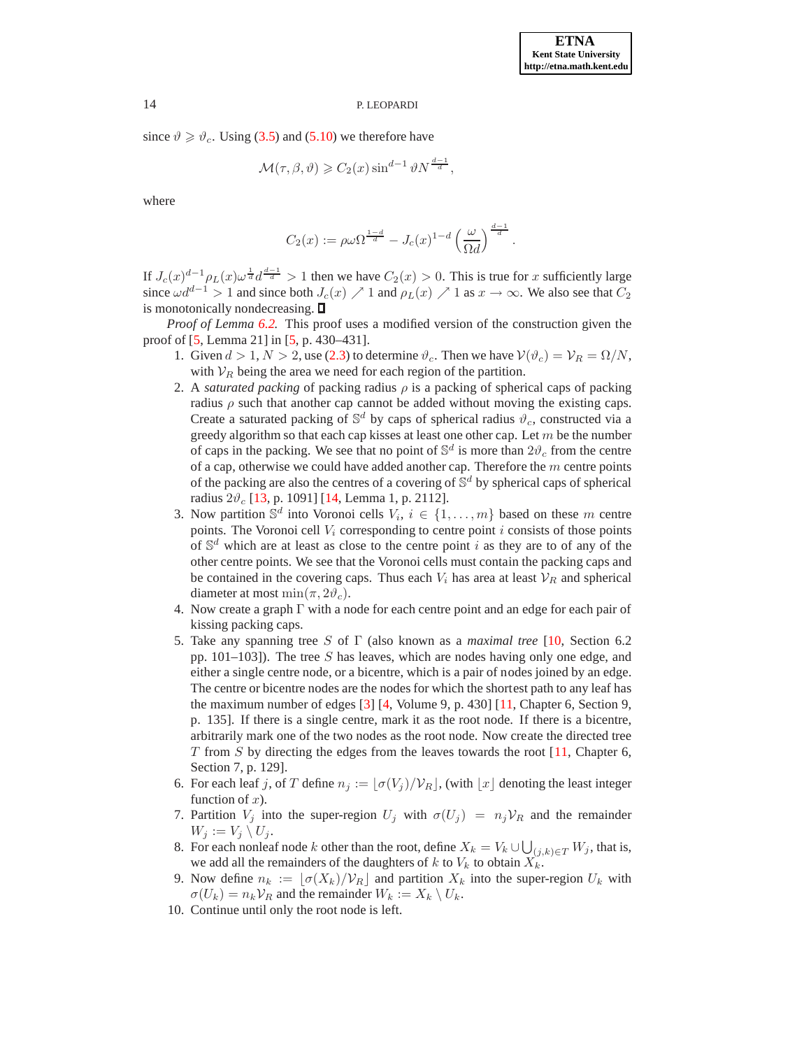since  $\vartheta \geq \vartheta_c$ . Using [\(3.5\)](#page-2-1) and [\(5.10\)](#page-7-5) we therefore have

$$
\mathcal{M}(\tau,\beta,\vartheta) \geqslant C_2(x) \sin^{d-1} \vartheta N^{\frac{d-1}{d}},
$$

where

$$
C_2(x) := \rho \omega \Omega^{\frac{1-d}{d}} - J_c(x)^{1-d} \left(\frac{\omega}{\Omega d}\right)^{\frac{d-1}{d}}.
$$

If  $J_c(x)^{d-1} \rho_L(x) \omega^{\frac{1}{d}} d^{\frac{d-1}{d}} > 1$  then we have  $C_2(x) > 0$ . This is true for x sufficiently large since  $\omega d^{d-1} > 1$  and since both  $J_c(x) \nearrow 1$  and  $\rho_L(x) \nearrow 1$  as  $x \to \infty$ . We also see that  $C_2$ is monotonically nondecreasing.  $\square$ 

*Proof of Lemma [6.2.](#page-7-3)* This proof uses a modified version of the construction given the proof of [\[5,](#page-14-1) Lemma 21] in [\[5,](#page-14-1) p. 430–431].

- 1. Given  $d > 1, N > 2$ , use [\(2.3\)](#page-1-5) to determine  $\vartheta_c$ . Then we have  $\mathcal{V}(\vartheta_c) = \mathcal{V}_R = \Omega/N$ , with  $V_R$  being the area we need for each region of the partition.
- 2. A *saturated packing* of packing radius  $\rho$  is a packing of spherical caps of packing radius  $\rho$  such that another cap cannot be added without moving the existing caps. Create a saturated packing of  $\mathbb{S}^d$  by caps of spherical radius  $\vartheta_c$ , constructed via a greedy algorithm so that each cap kisses at least one other cap. Let  $m$  be the number of caps in the packing. We see that no point of  $\mathbb{S}^d$  is more than  $2\vartheta_c$  from the centre of a cap, otherwise we could have added another cap. Therefore the  $m$  centre points of the packing are also the centres of a covering of  $\mathbb{S}^d$  by spherical caps of spherical radius  $2\vartheta_c$  [\[13,](#page-15-1) p. 1091] [\[14,](#page-15-2) Lemma 1, p. 2112].
- 3. Now partition  $\mathbb{S}^d$  into Voronoi cells  $V_i$ ,  $i \in \{1, ..., m\}$  based on these m centre points. The Voronoi cell  $V_i$  corresponding to centre point  $i$  consists of those points of  $\mathbb{S}^d$  which are at least as close to the centre point i as they are to of any of the other centre points. We see that the Voronoi cells must contain the packing caps and be contained in the covering caps. Thus each  $V_i$  has area at least  $V_R$  and spherical diameter at most min $(\pi, 2\vartheta_c)$ .
- 4. Now create a graph Γ with a node for each centre point and an edge for each pair of kissing packing caps.
- 5. Take any spanning tree S of Γ (also known as a *maximal tree* [\[10,](#page-14-7) Section 6.2 pp.  $101-103$ ]). The tree S has leaves, which are nodes having only one edge, and either a single centre node, or a bicentre, which is a pair of nodes joined by an edge. The centre or bicentre nodes are the nodes for which the shortest path to any leaf has the maximum number of edges [\[3\]](#page-14-8) [\[4,](#page-14-9) Volume 9, p. 430] [\[11,](#page-14-10) Chapter 6, Section 9, p. 135]. If there is a single centre, mark it as the root node. If there is a bicentre, arbitrarily mark one of the two nodes as the root node. Now create the directed tree T from S by directing the edges from the leaves towards the root  $[11]$ , Chapter 6, Section 7, p. 129].
- 6. For each leaf j, of T define  $n_j := [\sigma(V_j)/V_R]$ , (with  $[x]$  denoting the least integer function of  $x$ ).
- 7. Partition  $V_j$  into the super-region  $U_j$  with  $\sigma(U_j) = n_j V_R$  and the remainder  $W_j := V_j \setminus U_j.$
- 8. For each nonleaf node k other than the root, define  $X_k = V_k \cup \bigcup_{(j,k) \in T} W_j$ , that is, we add all the remainders of the daughters of k to  $V_k$  to obtain  $X_k$ .
- 9. Now define  $n_k := [\sigma(X_k)/\mathcal{V}_R]$  and partition  $X_k$  into the super-region  $U_k$  with  $\sigma(U_k) = n_k \mathcal{V}_R$  and the remainder  $W_k := X_k \setminus U_k$ .
- 10. Continue until only the root node is left.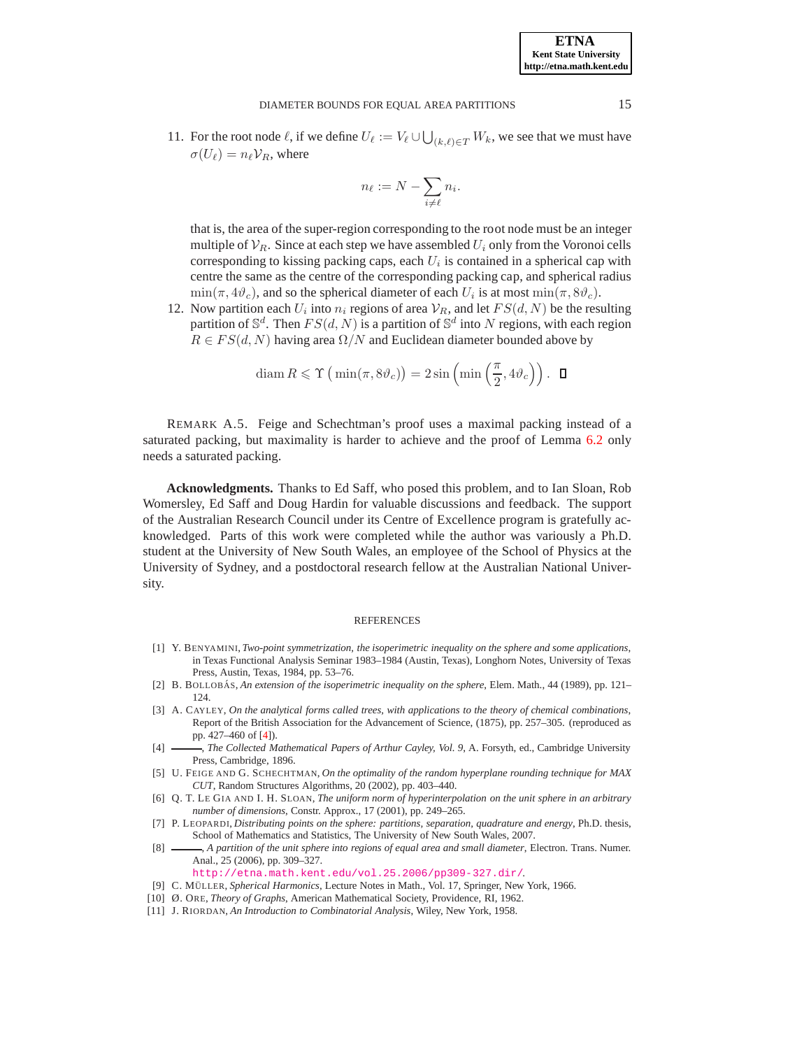11. For the root node  $\ell$ , if we define  $U_{\ell} := V_{\ell} \cup \bigcup_{(k,\ell) \in T} W_k$ , we see that we must have  $\sigma(U_\ell) = n_\ell \mathcal{V}_R$ , where

$$
n_\ell := N - \sum_{i \neq \ell} n_i.
$$

that is, the area of the super-region corresponding to the root node must be an integer multiple of  $V_R$ . Since at each step we have assembled  $U_i$  only from the Voronoi cells corresponding to kissing packing caps, each  $U_i$  is contained in a spherical cap with centre the same as the centre of the corresponding packing cap, and spherical radius  $\min(\pi, 4\vartheta_c)$ , and so the spherical diameter of each  $U_i$  is at most  $\min(\pi, 8\vartheta_c)$ .

12. Now partition each  $U_i$  into  $n_i$  regions of area  $V_R$ , and let  $FS(d, N)$  be the resulting partition of  $\mathbb{S}^d$ . Then  $FS(d, N)$  is a partition of  $\mathbb{S}^d$  into N regions, with each region  $R \in FS(d, N)$  having area  $\Omega/N$  and Euclidean diameter bounded above by

$$
\operatorname{diam} R \leqslant \Upsilon \left( \min(\pi, 8\vartheta_c) \right) = 2\sin\left(\min\left(\frac{\pi}{2}, 4\vartheta_c\right) \right). \quad \Box
$$

REMARK A.5. Feige and Schechtman's proof uses a maximal packing instead of a saturated packing, but maximality is harder to achieve and the proof of Lemma [6.2](#page-7-3) only needs a saturated packing.

**Acknowledgments.** Thanks to Ed Saff, who posed this problem, and to Ian Sloan, Rob Womersley, Ed Saff and Doug Hardin for valuable discussions and feedback. The support of the Australian Research Council under its Centre of Excellence program is gratefully acknowledged. Parts of this work were completed while the author was variously a Ph.D. student at the University of New South Wales, an employee of the School of Physics at the University of Sydney, and a postdoctoral research fellow at the Australian National University.

#### REFERENCES

- <span id="page-14-6"></span>[1] Y. BENYAMINI, *Two-point symmetrization, the isoperimetric inequality on the sphere and some applications*, in Texas Functional Analysis Seminar 1983–1984 (Austin, Texas), Longhorn Notes, University of Texas Press, Austin, Texas, 1984, pp. 53–76.
- <span id="page-14-5"></span>[2] B. BOLLOBÁS, *An extension of the isoperimetric inequality on the sphere*, Elem. Math., 44 (1989), pp. 121– 124.
- <span id="page-14-8"></span>[3] A. CAYLEY, *On the analytical forms called trees, with applications to the theory of chemical combinations*, Report of the British Association for the Advancement of Science, (1875), pp. 257–305. (reproduced as pp. 427–460 of [\[4\]](#page-14-9)).
- <span id="page-14-9"></span>[4] , *The Collected Mathematical Papers of Arthur Cayley, Vol. 9*, A. Forsyth, ed., Cambridge University Press, Cambridge, 1896.
- <span id="page-14-1"></span>[5] U. FEIGE AND G. SCHECHTMAN, *On the optimality of the random hyperplane rounding technique for MAX CUT*, Random Structures Algorithms, 20 (2002), pp. 403–440.
- <span id="page-14-4"></span>[6] Q. T. LE GIA AND I. H. SLOAN, *The uniform norm of hyperinterpolation on the unit sphere in an arbitrary number of dimensions*, Constr. Approx., 17 (2001), pp. 249–265.
- <span id="page-14-2"></span>[7] P. LEOPARDI, *Distributing points on the sphere: partitions, separation, quadrature and energy*, Ph.D. thesis, School of Mathematics and Statistics, The University of New South Wales, 2007.
- <span id="page-14-0"></span>[8]  $\longrightarrow$ , *A partition of the unit sphere into regions of equal area and small diameter*, Electron. Trans. Numer. Anal., 25 (2006), pp. 309–327.

<http://etna.math.kent.edu/vol.25.2006/pp309-327.dir/>.

- <span id="page-14-3"></span>[9] C. MÜLLER, *Spherical Harmonics*, Lecture Notes in Math., Vol. 17, Springer, New York, 1966.
- <span id="page-14-10"></span><span id="page-14-7"></span>[10] Ø. ORE, *Theory of Graphs*, American Mathematical Society, Providence, RI, 1962.
- [11] J. RIORDAN, *An Introduction to Combinatorial Analysis*, Wiley, New York, 1958.

**ETNA Kent State University http://etna.math.kent.edu**